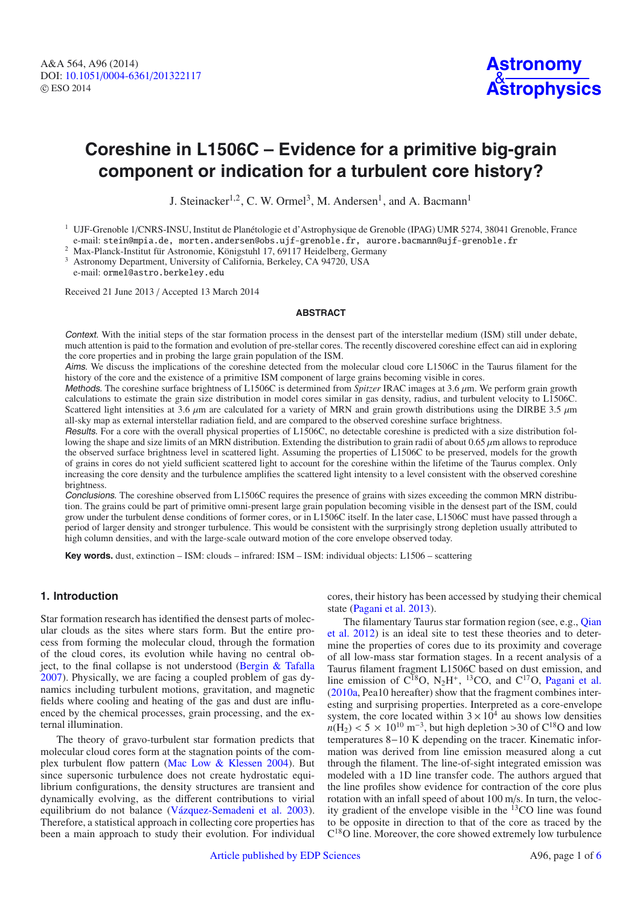# **Coreshine in L1506C – Evidence for a primitive big-grain component or indication for a turbulent core history?**

J. Steinacker<sup>1,2</sup>, C. W. Ormel<sup>3</sup>, M. Andersen<sup>1</sup>, and A. Bacmann<sup>1</sup>

<sup>2</sup> Max-Planck-Institut für Astronomie, Königstuhl 17, 69117 Heidelberg, Germany

<sup>3</sup> Astronomy Department, University of California, Berkeley, CA 94720, USA e-mail: ormel@astro.berkeley.edu

Received 21 June 2013 / Accepted 13 March 2014

#### **ABSTRACT**

Context. With the initial steps of the star formation process in the densest part of the interstellar medium (ISM) still under debate, much attention is paid to the formation and evolution of pre-stellar cores. The recently discovered coreshine effect can aid in exploring the core properties and in probing the large grain population of the ISM.

Aims. We discuss the implications of the coreshine detected from the molecular cloud core L1506C in the Taurus filament for the history of the core and the existence of a primitive ISM component of large grains becoming visible in cores.

Methods. The coreshine surface brightness of L1506C is determined from *Spitzer* IRAC images at 3.6 µm. We perform grain growth calculations to estimate the grain size distribution in model cores similar in gas density, radius, and turbulent velocity to L1506C. Scattered light intensities at 3.6  $\mu$ m are calculated for a variety of MRN and grain growth distributions using the DIRBE 3.5  $\mu$ m all-sky map as external interstellar radiation field, and are compared to the observed coreshine surface brightness.

Results. For a core with the overall physical properties of L1506C, no detectable coreshine is predicted with a size distribution following the shape and size limits of an MRN distribution. Extending the distribution to grain radii of about 0.65  $\mu$ m allows to reproduce the observed surface brightness level in scattered light. Assuming the properties of L1506C to be preserved, models for the growth of grains in cores do not yield sufficient scattered light to account for the coreshine within the lifetime of the Taurus complex. Only increasing the core density and the turbulence amplifies the scattered light intensity to a level consistent with the observed coreshine brightness.

Conclusions. The coreshine observed from L1506C requires the presence of grains with sizes exceeding the common MRN distribution. The grains could be part of primitive omni-present large grain population becoming visible in the densest part of the ISM, could grow under the turbulent dense conditions of former cores, or in L1506C itself. In the later case, L1506C must have passed through a period of larger density and stronger turbulence. This would be consistent with the surprisingly strong depletion usually attributed to high column densities, and with the large-scale outward motion of the core envelope observed today.

**Key words.** dust, extinction – ISM: clouds – infrared: ISM – ISM: individual objects: L1506 – scattering

## **1. Introduction**

Star formation research has identified the densest parts of molecular clouds as the sites where stars form. But the entire process from forming the molecular cloud, through the formation of the cloud cores, its evolution while having no central object, to the final collapse is not understood [\(Bergin & Tafalla](#page-4-0) [2007\)](#page-4-0). Physically, we are facing a coupled problem of gas dynamics including turbulent motions, gravitation, and magnetic fields where cooling and heating of the gas and dust are influenced by the chemical processes, grain processing, and the external illumination.

The theory of gravo-turbulent star formation predicts that molecular cloud cores form at the stagnation points of the complex turbulent flow pattern [\(Mac Low & Klessen 2004](#page-5-0)). But since supersonic turbulence does not create hydrostatic equilibrium configurations, the density structures are transient and dynamically evolving, as the different contributions to virial equilibrium do not balance [\(Vázquez-Semadeni et al. 2003\)](#page-5-1). Therefore, a statistical approach in collecting core properties has been a main approach to study their evolution. For individual

cores, their history has been accessed by studying their chemical state [\(Pagani et al. 2013\)](#page-5-2).

[The filamentary Taurus star formation region \(see, e.g.,](#page-5-3) Qian et al. [2012\)](#page-5-3) is an ideal site to test these theories and to determine the properties of cores due to its proximity and coverage of all low-mass star formation stages. In a recent analysis of a Taurus filament fragment L1506C based on dust emission, and line emission of  $C^{18}O$ ,  $N_2H^+$ , <sup>13</sup>CO, and C<sup>17</sup>O, [Pagani et al.](#page-5-4) [\(2010a](#page-5-4), Pea10 hereafter) show that the fragment combines interesting and surprising properties. Interpreted as a core-envelope system, the core located within  $3 \times 10^4$  au shows low densities  $n(H<sub>2</sub>)$  < 5 × 10<sup>10</sup> m<sup>-3</sup>, but high depletion >30 of C<sup>18</sup>O and low temperatures 8−10 K depending on the tracer. Kinematic information was derived from line emission measured along a cut through the filament. The line-of-sight integrated emission was modeled with a 1D line transfer code. The authors argued that the line profiles show evidence for contraction of the core plus rotation with an infall speed of about 100 m/s. In turn, the velocity gradient of the envelope visible in the  $13$ CO line was found to be opposite in direction to that of the core as traced by the  $C^{18}$ O line. Moreover, the core showed extremely low turbulence

<sup>1</sup> UJF-Grenoble 1/CNRS-INSU, Institut de Planétologie et d'Astrophysique de Grenoble (IPAG) UMR 5274, 38041 Grenoble, France e-mail: stein@mpia.de, morten.andersen@obs.ujf-grenoble.fr, aurore.bacmann@ujf-grenoble.fr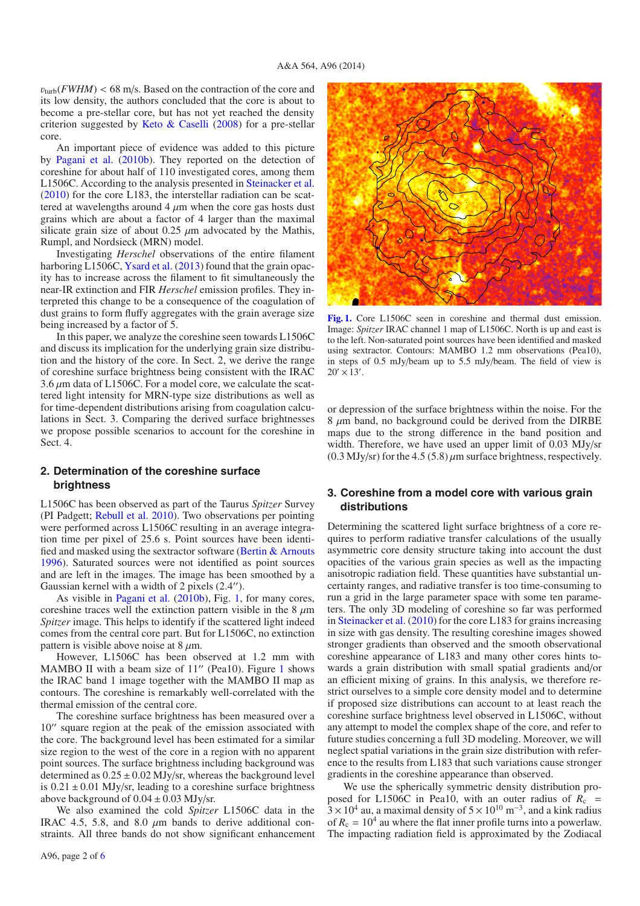$v_{\text{turb}}(FWHM) < 68 \text{ m/s}$ . Based on the contraction of the core and its low density, the authors concluded that the core is about to become a pre-stellar core, but has not yet reached the density criterion suggested by [Keto & Caselli](#page-5-6) [\(2008\)](#page-5-6) for a pre-stellar core.

An important piece of evidence was added to this picture by [Pagani et al.](#page-5-7) [\(2010b\)](#page-5-7). They reported on the detection of coreshine for about half of 110 investigated cores, among them L1506C. According to the analysis presented in [Steinacker et al.](#page-5-8) [\(2010](#page-5-8)) for the core L183, the interstellar radiation can be scattered at wavelengths around  $4 \mu m$  when the core gas hosts dust grains which are about a factor of 4 larger than the maximal silicate grain size of about  $0.25 \mu m$  advocated by the Mathis, Rumpl, and Nordsieck (MRN) model.

Investigating *Herschel* observations of the entire filament harboring L1506C, [Ysard et al.](#page-5-9) [\(2013](#page-5-9)) found that the grain opacity has to increase across the filament to fit simultaneously the near-IR extinction and FIR *Herschel* emission profiles. They interpreted this change to be a consequence of the coagulation of dust grains to form fluffy aggregates with the grain average size being increased by a factor of 5.

In this paper, we analyze the coreshine seen towards L1506C and discuss its implication for the underlying grain size distribution and the history of the core. In Sect. 2, we derive the range of coreshine surface brightness being consistent with the IRAC  $3.6 \mu$ m data of L1506C. For a model core, we calculate the scattered light intensity for MRN-type size distributions as well as for time-dependent distributions arising from coagulation calculations in Sect. 3. Comparing the derived surface brightnesses we propose possible scenarios to account for the coreshine in Sect. 4.

## **2. Determination of the coreshine surface brightness**

L1506C has been observed as part of the Taurus *Spitzer* Survey (PI Padgett; [Rebull et al. 2010](#page-5-10)). Two observations per pointing were performed across L1506C resulting in an average integration time per pixel of 25.6 s. Point sources have been identified and masked using the sextractor software (Bertin  $&$  Arnouts [1996\)](#page-4-1). Saturated sources were not identified as point sources and are left in the images. The image has been smoothed by a Gaussian kernel with a width of 2 pixels  $(2.4'')$ .

As visible in [Pagani et al.](#page-5-7) [\(2010b](#page-5-7)), Fig. [1,](#page-1-0) for many cores, coreshine traces well the extinction pattern visible in the  $8 \mu m$ *Spitzer* image. This helps to identify if the scattered light indeed comes from the central core part. But for L1506C, no extinction pattern is visible above noise at  $8 \mu m$ .

However, L1506C has been observed at 1.2 mm with MAMBO II with a beam size of  $11''$  $11''$  (Pea10). Figure 1 shows the IRAC band 1 image together with the MAMBO II map as contours. The coreshine is remarkably well-correlated with the thermal emission of the central core.

The coreshine surface brightness has been measured over a 10" square region at the peak of the emission associated with the core. The background level has been estimated for a similar size region to the west of the core in a region with no apparent point sources. The surface brightness including background was determined as  $0.25 \pm 0.02$  MJy/sr, whereas the background level is  $0.21 \pm 0.01$  MJy/sr, leading to a coreshine surface brightness above background of  $0.04 \pm 0.03$  MJy/sr.

We also examined the cold *Spitzer* L1506C data in the IRAC 4.5, 5.8, and 8.0  $\mu$ m bands to derive additional constraints. All three bands do not show significant enhancement

<span id="page-1-0"></span>

**[Fig. 1.](http://dexter.edpsciences.org/applet.php?DOI=10.1051/0004-6361/201322117&pdf_id=1)** Core L1506C seen in coreshine and thermal dust emission. Image: *Spitzer* IRAC channel 1 map of L1506C. North is up and east is to the left. Non-saturated point sources have been identified and masked using sextractor. Contours: MAMBO 1.2 mm observations (Pea10), in steps of 0.5 mJy/beam up to 5.5 mJy/beam. The field of view is  $20' \times 13'$ .

or depression of the surface brightness within the noise. For the  $8 \mu m$  band, no background could be derived from the DIRBE maps due to the strong difference in the band position and width. Therefore, we have used an upper limit of 0.03 MJy/sr  $(0.3 \text{ MJy/sr})$  for the 4.5 (5.8)  $\mu$ m surface brightness, respectively.

## **3. Coreshine from a model core with various grain distributions**

Determining the scattered light surface brightness of a core requires to perform radiative transfer calculations of the usually asymmetric core density structure taking into account the dust opacities of the various grain species as well as the impacting anisotropic radiation field. These quantities have substantial uncertainty ranges, and radiative transfer is too time-consuming to run a grid in the large parameter space with some ten parameters. The only 3D modeling of coreshine so far was performed in [Steinacker et al.](#page-5-8) [\(2010\)](#page-5-8) for the core L183 for grains increasing in size with gas density. The resulting coreshine images showed stronger gradients than observed and the smooth observational coreshine appearance of L183 and many other cores hints towards a grain distribution with small spatial gradients and/or an efficient mixing of grains. In this analysis, we therefore restrict ourselves to a simple core density model and to determine if proposed size distributions can account to at least reach the coreshine surface brightness level observed in L1506C, without any attempt to model the complex shape of the core, and refer to future studies concerning a full 3D modeling. Moreover, we will neglect spatial variations in the grain size distribution with reference to the results from L183 that such variations cause stronger gradients in the coreshine appearance than observed.

We use the spherically symmetric density distribution proposed for L1506C in Pea10, with an outer radius of  $R_c$  =  $3 \times 10^4$  au, a maximal density of  $5 \times 10^{10}$  m<sup>-3</sup>, and a kink radius of  $R_c = 10^4$  au where the flat inner profile turns into a powerlaw. The impacting radiation field is approximated by the Zodiacal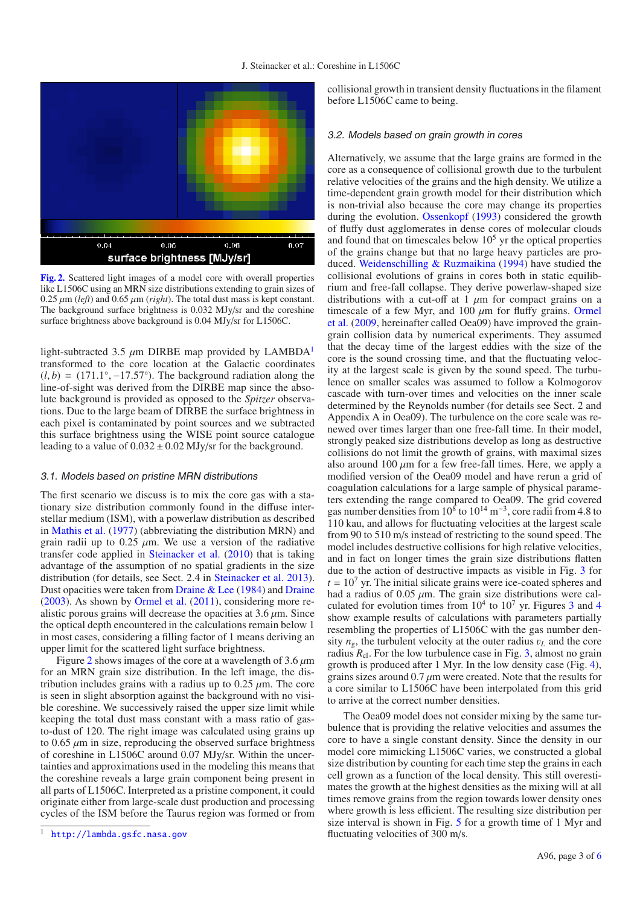<span id="page-2-1"></span>

**[Fig. 2.](http://dexter.edpsciences.org/applet.php?DOI=10.1051/0004-6361/201322117&pdf_id=2)** Scattered light images of a model core with overall properties like L1506C using an MRN size distributions extending to grain sizes of  $0.25 \mu m$  (*left*) and  $0.65 \mu m$  (*right*). The total dust mass is kept constant. The background surface brightness is 0.032 MJy/sr and the coreshine surface brightness above background is 0.04 MJy/sr for L1506C.

light-subtracted 3.5  $\mu$ m DIRBE map provided by LAMBDA<sup>[1](#page-2-0)</sup> transformed to the core location at the Galactic coordinates  $(l, b) = (171.1°, -17.57°)$ . The background radiation along the line-of-sight was derived from the DIRBE map since the absolute background is provided as opposed to the *Spitzer* observations. Due to the large beam of DIRBE the surface brightness in each pixel is contaminated by point sources and we subtracted this surface brightness using the WISE point source catalogue leading to a value of  $0.032 \pm 0.02$  MJy/sr for the background.

## 3.1. Models based on pristine MRN distributions

The first scenario we discuss is to mix the core gas with a stationary size distribution commonly found in the diffuse interstellar medium (ISM), with a powerlaw distribution as described in [Mathis et al.](#page-5-11) [\(1977](#page-5-11)) (abbreviating the distribution MRN) and grain radii up to 0.25  $\mu$ m. We use a version of the radiative transfer code applied in [Steinacker et al.](#page-5-8) [\(2010\)](#page-5-8) that is taking advantage of the assumption of no spatial gradients in the size distribution (for details, see Sect. 2.4 in [Steinacker et al. 2013\)](#page-5-12). Dust opacities were taken from [Draine & Lee](#page-5-13) [\(1984](#page-5-13)) and [Draine](#page-5-14) [\(2003](#page-5-14)). As shown by [Ormel et al.](#page-5-15) [\(2011](#page-5-15)), considering more realistic porous grains will decrease the opacities at  $3.6 \mu$ m. Since the optical depth encountered in the calculations remain below 1 in most cases, considering a filling factor of 1 means deriving an upper limit for the scattered light surface brightness.

<span id="page-2-0"></span>Figure [2](#page-2-1) shows images of the core at a wavelength of 3.6  $\mu$ m for an MRN grain size distribution. In the left image, the distribution includes grains with a radius up to  $0.25 \mu m$ . The core is seen in slight absorption against the background with no visible coreshine. We successively raised the upper size limit while keeping the total dust mass constant with a mass ratio of gasto-dust of 120. The right image was calculated using grains up to  $0.65 \mu m$  in size, reproducing the observed surface brightness of coreshine in L1506C around 0.07 MJy/sr. Within the uncertainties and approximations used in the modeling this means that the coreshine reveals a large grain component being present in all parts of L1506C. Interpreted as a pristine component, it could originate either from large-scale dust production and processing cycles of the ISM before the Taurus region was formed or from collisional growth in transient density fluctuations in the filament before L1506C came to being.

## 3.2. Models based on grain growth in cores

Alternatively, we assume that the large grains are formed in the core as a consequence of collisional growth due to the turbulent relative velocities of the grains and the high density. We utilize a time-dependent grain growth model for their distribution which is non-trivial also because the core may change its properties during the evolution. [Ossenkopf](#page-5-16) [\(1993](#page-5-16)) considered the growth of fluffy dust agglomerates in dense cores of molecular clouds and found that on timescales below  $10<sup>5</sup>$  yr the optical properties of the grains change but that no large heavy particles are produced. [Weidenschilling & Ruzmaikina](#page-5-17) [\(1994](#page-5-17)) have studied the collisional evolutions of grains in cores both in static equilibrium and free-fall collapse. They derive powerlaw-shaped size distributions with a cut-off at  $1 \mu m$  for compact grains on a timescale of a few Myr, and  $100 \mu m$  for fluffy grains. Ormel et al. [\(2009](#page-5-18), hereinafter called Oea09) have improved the graingrain collision data by numerical experiments. They assumed that the decay time of the largest eddies with the size of the core is the sound crossing time, and that the fluctuating velocity at the largest scale is given by the sound speed. The turbulence on smaller scales was assumed to follow a Kolmogorov cascade with turn-over times and velocities on the inner scale determined by the Reynolds number (for details see Sect. 2 and Appendix A in Oea09). The turbulence on the core scale was renewed over times larger than one free-fall time. In their model, strongly peaked size distributions develop as long as destructive collisions do not limit the growth of grains, with maximal sizes also around 100  $\mu$ m for a few free-fall times. Here, we apply a modified version of the Oea09 model and have rerun a grid of coagulation calculations for a large sample of physical parameters extending the range compared to Oea09. The grid covered gas number densities from  $10^8$  to  $10^{14}$  m<sup>-3</sup>, core radii from 4.8 to 110 kau, and allows for fluctuating velocities at the largest scale from 90 to 510 m/s instead of restricting to the sound speed. The model includes destructive collisions for high relative velocities, and in fact on longer times the grain size distributions flatten due to the action of destructive impacts as visible in Fig. [3](#page-3-0) for  $t = 10<sup>7</sup>$  yr. The initial silicate grains were ice-coated spheres and had a radius of  $0.05 \mu m$ . The grain size distributions were calculated for evolution times from  $10^4$  $10^4$  to  $10^7$  yr. Figures [3](#page-3-0) and 4 show example results of calculations with parameters partially resembling the properties of L1506C with the gas number density  $n_g$ , the turbulent velocity at the outer radius  $v_L$  and the core radius  $R_{cl}$ . For the low turbulence case in Fig. [3,](#page-3-0) almost no grain growth is produced after 1 Myr. In the low density case (Fig. [4\)](#page-3-1), grains sizes around  $0.7 \mu m$  were created. Note that the results for a core similar to L1506C have been interpolated from this grid to arrive at the correct number densities.

The Oea09 model does not consider mixing by the same turbulence that is providing the relative velocities and assumes the core to have a single constant density. Since the density in our model core mimicking L1506C varies, we constructed a global size distribution by counting for each time step the grains in each cell grown as a function of the local density. This still overestimates the growth at the highest densities as the mixing will at all times remove grains from the region towards lower density ones where growth is less efficient. The resulting size distribution per size interval is shown in Fig. [5](#page-3-2) for a growth time of 1 Myr and fluctuating velocities of 300 m/s.

<sup>1</sup> <http://lambda.gsfc.nasa.gov>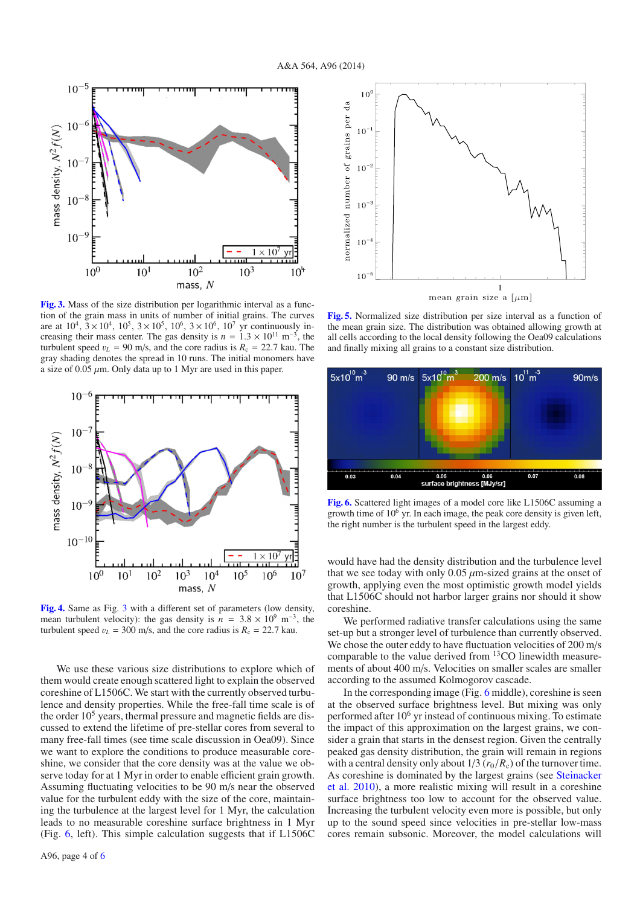<span id="page-3-0"></span>

**[Fig. 3.](http://dexter.edpsciences.org/applet.php?DOI=10.1051/0004-6361/201322117&pdf_id=3)** Mass of the size distribution per logarithmic interval as a function of the grain mass in units of number of initial grains. The curves are at  $10^4$ ,  $3 \times 10^4$ ,  $10^5$ ,  $3 \times 10^5$ ,  $10^6$ ,  $3 \times 10^6$ ,  $10^7$  yr continuously increasing their mass center. The gas density is  $n = 1.3 \times 10^{11} \text{ m}^{-3}$ , the turbulent speed  $v_L$  = 90 m/s, and the core radius is  $R_c$  = 22.7 kau. The gray shading denotes the spread in 10 runs. The initial monomers have a size of  $0.05 \mu$ m. Only data up to 1 Myr are used in this paper.

<span id="page-3-1"></span>

**[Fig. 4.](http://dexter.edpsciences.org/applet.php?DOI=10.1051/0004-6361/201322117&pdf_id=4)** Same as Fig. [3](#page-3-0) with a different set of parameters (low density, mean turbulent velocity): the gas density is  $n = 3.8 \times 10^9$  m<sup>-3</sup>, the turbulent speed  $v_L$  = 300 m/s, and the core radius is  $R_c$  = 22.7 kau.

We use these various size distributions to explore which of them would create enough scattered light to explain the observed coreshine of L1506C. We start with the currently observed turbulence and density properties. While the free-fall time scale is of the order  $10<sup>5</sup>$  years, thermal pressure and magnetic fields are discussed to extend the lifetime of pre-stellar cores from several to many free-fall times (see time scale discussion in Oea09). Since we want to explore the conditions to produce measurable coreshine, we consider that the core density was at the value we observe today for at 1 Myr in order to enable efficient grain growth. Assuming fluctuating velocities to be 90 m/s near the observed value for the turbulent eddy with the size of the core, maintaining the turbulence at the largest level for 1 Myr, the calculation leads to no measurable coreshine surface brightness in 1 Myr (Fig. [6,](#page-3-3) left). This simple calculation suggests that if L1506C

<span id="page-3-2"></span>

**[Fig. 5.](http://dexter.edpsciences.org/applet.php?DOI=10.1051/0004-6361/201322117&pdf_id=5)** Normalized size distribution per size interval as a function of the mean grain size. The distribution was obtained allowing growth at all cells according to the local density following the Oea09 calculations and finally mixing all grains to a constant size distribution.

<span id="page-3-3"></span>

**[Fig. 6.](http://dexter.edpsciences.org/applet.php?DOI=10.1051/0004-6361/201322117&pdf_id=6)** Scattered light images of a model core like L1506C assuming a growth time of  $10^6$  yr. In each image, the peak core density is given left, the right number is the turbulent speed in the largest eddy.

would have had the density distribution and the turbulence level that we see today with only 0.05  $\mu$ m-sized grains at the onset of growth, applying even the most optimistic growth model yields that L1506C should not harbor larger grains nor should it show coreshine.

We performed radiative transfer calculations using the same set-up but a stronger level of turbulence than currently observed. We chose the outer eddy to have fluctuation velocities of 200 m/s comparable to the value derived from 13CO linewidth measurements of about 400 m/s. Velocities on smaller scales are smaller according to the assumed Kolmogorov cascade.

In the corresponding image (Fig. [6](#page-3-3) middle), coreshine is seen at the observed surface brightness level. But mixing was only performed after  $10<sup>6</sup>$  yr instead of continuous mixing. To estimate the impact of this approximation on the largest grains, we consider a grain that starts in the densest region. Given the centrally peaked gas density distribution, the grain will remain in regions with a central density only about  $1/3$  ( $r_0/R_c$ ) of the turnover time. As c[oreshine](#page-5-8) [is](#page-5-8) [dominated](#page-5-8) [by](#page-5-8) [the](#page-5-8) [largest](#page-5-8) [grains](#page-5-8) [\(see](#page-5-8) Steinacker et al. [2010\)](#page-5-8), a more realistic mixing will result in a coreshine surface brightness too low to account for the observed value. Increasing the turbulent velocity even more is possible, but only up to the sound speed since velocities in pre-stellar low-mass cores remain subsonic. Moreover, the model calculations will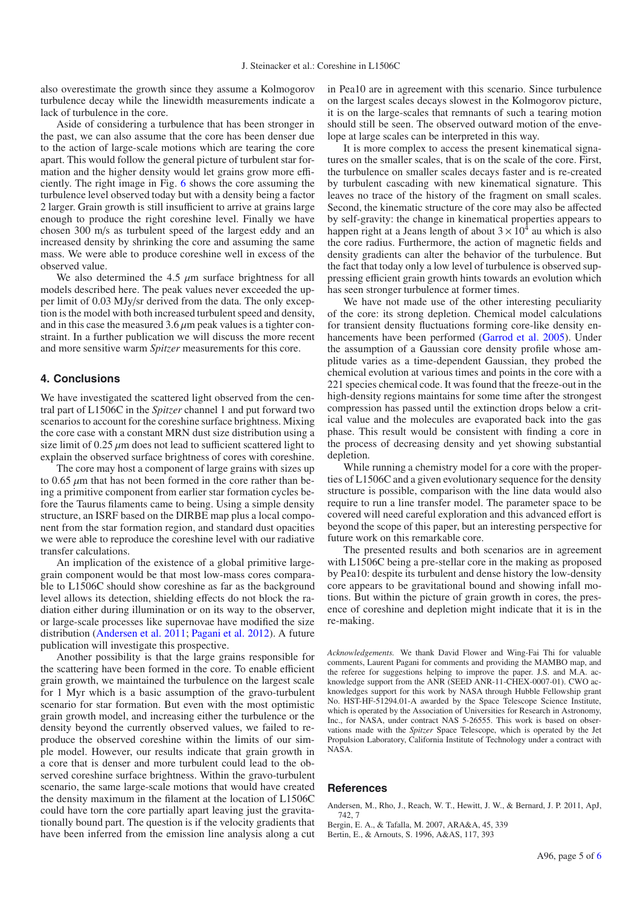also overestimate the growth since they assume a Kolmogorov turbulence decay while the linewidth measurements indicate a lack of turbulence in the core.

Aside of considering a turbulence that has been stronger in the past, we can also assume that the core has been denser due to the action of large-scale motions which are tearing the core apart. This would follow the general picture of turbulent star formation and the higher density would let grains grow more efficiently. The right image in Fig. [6](#page-3-3) shows the core assuming the turbulence level observed today but with a density being a factor 2 larger. Grain growth is still insufficient to arrive at grains large enough to produce the right coreshine level. Finally we have chosen 300 m/s as turbulent speed of the largest eddy and an increased density by shrinking the core and assuming the same mass. We were able to produce coreshine well in excess of the observed value.

We also determined the 4.5  $\mu$ m surface brightness for all models described here. The peak values never exceeded the upper limit of 0.03 MJy/sr derived from the data. The only exception is the model with both increased turbulent speed and density, and in this case the measured  $3.6 \mu m$  peak values is a tighter constraint. In a further publication we will discuss the more recent and more sensitive warm *Spitzer* measurements for this core.

### **4. Conclusions**

We have investigated the scattered light observed from the central part of L1506C in the *Spitzer* channel 1 and put forward two scenarios to account for the coreshine surface brightness. Mixing the core case with a constant MRN dust size distribution using a size limit of  $0.25 \mu m$  does not lead to sufficient scattered light to explain the observed surface brightness of cores with coreshine.

The core may host a component of large grains with sizes up to  $0.65 \mu$ m that has not been formed in the core rather than being a primitive component from earlier star formation cycles before the Taurus filaments came to being. Using a simple density structure, an ISRF based on the DIRBE map plus a local component from the star formation region, and standard dust opacities we were able to reproduce the coreshine level with our radiative transfer calculations.

An implication of the existence of a global primitive largegrain component would be that most low-mass cores comparable to L1506C should show coreshine as far as the background level allows its detection, shielding effects do not block the radiation either during illumination or on its way to the observer, or large-scale processes like supernovae have modified the size distribution [\(Andersen et al. 2011;](#page-4-2) [Pagani et al. 2012](#page-5-19)). A future publication will investigate this prospective.

Another possibility is that the large grains responsible for the scattering have been formed in the core. To enable efficient grain growth, we maintained the turbulence on the largest scale for 1 Myr which is a basic assumption of the gravo-turbulent scenario for star formation. But even with the most optimistic grain growth model, and increasing either the turbulence or the density beyond the currently observed values, we failed to reproduce the observed coreshine within the limits of our simple model. However, our results indicate that grain growth in a core that is denser and more turbulent could lead to the observed coreshine surface brightness. Within the gravo-turbulent scenario, the same large-scale motions that would have created the density maximum in the filament at the location of L1506C could have torn the core partially apart leaving just the gravitationally bound part. The question is if the velocity gradients that have been inferred from the emission line analysis along a cut

in Pea10 are in agreement with this scenario. Since turbulence on the largest scales decays slowest in the Kolmogorov picture, it is on the large-scales that remnants of such a tearing motion should still be seen. The observed outward motion of the envelope at large scales can be interpreted in this way.

It is more complex to access the present kinematical signatures on the smaller scales, that is on the scale of the core. First, the turbulence on smaller scales decays faster and is re-created by turbulent cascading with new kinematical signature. This leaves no trace of the history of the fragment on small scales. Second, the kinematic structure of the core may also be affected by self-gravity: the change in kinematical properties appears to happen right at a Jeans length of about  $3 \times 10^4$  au which is also the core radius. Furthermore, the action of magnetic fields and density gradients can alter the behavior of the turbulence. But the fact that today only a low level of turbulence is observed suppressing efficient grain growth hints towards an evolution which has seen stronger turbulence at former times.

We have not made use of the other interesting peculiarity of the core: its strong depletion. Chemical model calculations for transient density fluctuations forming core-like density enhancements have been performed [\(Garrod et al. 2005](#page-5-20)). Under the assumption of a Gaussian core density profile whose amplitude varies as a time-dependent Gaussian, they probed the chemical evolution at various times and points in the core with a 221 species chemical code. It was found that the freeze-out in the high-density regions maintains for some time after the strongest compression has passed until the extinction drops below a critical value and the molecules are evaporated back into the gas phase. This result would be consistent with finding a core in the process of decreasing density and yet showing substantial depletion.

While running a chemistry model for a core with the properties of L1506C and a given evolutionary sequence for the density structure is possible, comparison with the line data would also require to run a line transfer model. The parameter space to be covered will need careful exploration and this advanced effort is beyond the scope of this paper, but an interesting perspective for future work on this remarkable core.

The presented results and both scenarios are in agreement with L1506C being a pre-stellar core in the making as proposed by Pea10: despite its turbulent and dense history the low-density core appears to be gravitational bound and showing infall motions. But within the picture of grain growth in cores, the presence of coreshine and depletion might indicate that it is in the re-making.

*Acknowledgements.* We thank David Flower and Wing-Fai Thi for valuable comments, Laurent Pagani for comments and providing the MAMBO map, and the referee for suggestions helping to improve the paper. J.S. and M.A. acknowledge support from the ANR (SEED ANR-11-CHEX-0007-01). CWO acknowledges support for this work by NASA through Hubble Fellowship grant No. HST-HF-51294.01-A awarded by the Space Telescope Science Institute, which is operated by the Association of Universities for Research in Astronomy, Inc., for NASA, under contract NAS 5-26555. This work is based on observations made with the *Spitzer* Space Telescope, which is operated by the Jet Propulsion Laboratory, California Institute of Technology under a contract with NASA.

#### **References**

<span id="page-4-2"></span>Andersen, M., Rho, J., Reach, W. T., Hewitt, J. W., & Bernard, J. P. 2011, ApJ, 742, 7

<span id="page-4-1"></span><span id="page-4-0"></span>Bergin, E. A., & Tafalla, M. 2007, ARA&A, 45, 339 Bertin, E., & Arnouts, S. 1996, A&AS, 117, 393